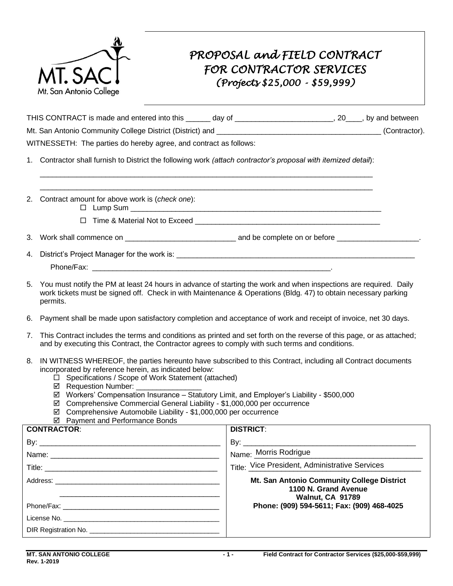

## *PROPOSAL and FIELD CONTRACT FOR CONTRACTOR SERVICES (Projects \$25,000 - \$59,999)*

THIS CONTRACT is made and entered into this  $\rule{1em}{0.15mm}$  day of  $\rule{1.15mm}{}$   $\rule{1.15mm}{}$   $\qquad$   $\qquad$   $\qquad$   $\qquad$   $\qquad$   $\qquad$   $\qquad$   $\qquad$   $\qquad$   $\qquad$   $\qquad$   $\qquad$   $\qquad$   $\qquad$   $\qquad$   $\qquad$   $\qquad$   $\qquad$   $\qquad$   $\qquad$   $\qquad$   $\q$ Mt. San Antonio Community College District (District) and \_\_\_\_\_\_\_\_\_\_\_\_\_\_\_\_\_\_\_\_\_\_\_\_\_\_\_\_\_\_\_\_\_\_\_\_\_\_\_\_ (Contractor).

WITNESSETH: The parties do hereby agree, and contract as follows:

1. Contractor shall furnish to District the following work *(attach contractor's proposal with itemized detail*):

\_\_\_\_\_\_\_\_\_\_\_\_\_\_\_\_\_\_\_\_\_\_\_\_\_\_\_\_\_\_\_\_\_\_\_\_\_\_\_\_\_\_\_\_\_\_\_\_\_\_\_\_\_\_\_\_\_\_\_\_\_\_\_\_\_\_\_\_\_\_\_\_\_\_\_\_\_\_\_\_\_ \_\_\_\_\_\_\_\_\_\_\_\_\_\_\_\_\_\_\_\_\_\_\_\_\_\_\_\_\_\_\_\_\_\_\_\_\_\_\_\_\_\_\_\_\_\_\_\_\_\_\_\_\_\_\_\_\_\_\_\_\_\_\_\_\_\_\_\_\_\_\_\_\_\_\_\_\_\_\_\_\_

2. Contract amount for above work is (*check one*):

Lump Sum \_\_\_\_\_\_\_\_\_\_\_\_\_\_\_\_\_\_\_\_\_\_\_\_\_\_\_\_\_\_\_\_\_\_\_\_\_\_\_\_\_\_\_\_\_\_\_\_\_\_\_\_\_\_\_\_\_\_\_\_\_

Time & Material Not to Exceed \_\_\_\_\_\_\_\_\_\_\_\_\_\_\_\_\_\_\_\_\_\_\_\_\_\_\_\_\_\_\_\_\_\_\_\_\_\_\_\_\_\_\_\_\_

3. Work shall commence on \_\_\_\_\_\_\_\_\_\_\_\_\_\_\_\_\_\_\_\_\_\_\_\_\_\_\_ and be complete on or before \_\_\_\_\_\_\_\_\_\_\_\_\_\_\_\_\_\_\_\_.

4. District's Project Manager for the work is: \_\_\_\_\_\_\_\_\_\_\_\_\_\_\_\_\_\_\_\_\_\_\_\_\_\_\_\_\_\_\_\_\_\_\_\_\_\_\_\_\_\_\_\_\_\_\_\_\_\_\_\_\_\_\_\_\_\_

- Phone/Fax: **with a strategies of the strategies of the strategies of the strategies of the strategies of the strategies of the strategies of the strategies of the strategies of the strategies of the strategies of the strat**
- 5. You must notify the PM at least 24 hours in advance of starting the work and when inspections are required. Daily work tickets must be signed off. Check in with Maintenance & Operations (Bldg. 47) to obtain necessary parking permits.
- 6. Payment shall be made upon satisfactory completion and acceptance of work and receipt of invoice, net 30 days.
- 7. This Contract includes the terms and conditions as printed and set forth on the reverse of this page, or as attached; and by executing this Contract, the Contractor agrees to comply with such terms and conditions.
- 8. IN WITNESS WHEREOF, the parties hereunto have subscribed to this Contract, including all Contract documents incorporated by reference herein, as indicated below:
	- □ Specifications / Scope of Work Statement (attached)
	- $\boxtimes$  Requestion Number: \_\_\_\_\_\_\_\_\_\_\_\_\_\_\_\_\_\_\_
	- Workers' Compensation Insurance Statutory Limit, and Employer's Liability \$500,000
	- Comprehensive Commercial General Liability \$1,000,000 per occurrence
	- Comprehensive Automobile Liability \$1,000,000 per occurrence
	- ⊠ Payment and Performance Bonds

| <b>CONTRACTOR:</b> | <b>DISTRICT:</b>                                                                              |
|--------------------|-----------------------------------------------------------------------------------------------|
|                    | By: $\overline{\phantom{a}}$                                                                  |
|                    | Name: Morris Rodrigue                                                                         |
|                    | Title: Vice President, Administrative Services                                                |
|                    | Mt. San Antonio Community College District<br>1100 N. Grand Avenue<br><b>Walnut, CA 91789</b> |
|                    | Phone: (909) 594-5611; Fax: (909) 468-4025                                                    |
|                    |                                                                                               |
|                    |                                                                                               |
|                    |                                                                                               |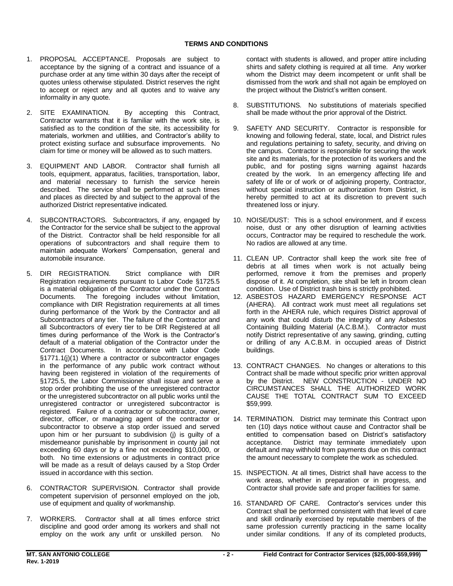- 1. PROPOSAL ACCEPTANCE. Proposals are subject to acceptance by the signing of a contract and issuance of a purchase order at any time within 30 days after the receipt of quotes unless otherwise stipulated. District reserves the right to accept or reject any and all quotes and to waive any informality in any quote.
- 2. SITE EXAMINATION. By accepting this Contract, Contractor warrants that it is familiar with the work site, is satisfied as to the condition of the site, its accessibility for materials, workmen and utilities, and Contractor's ability to protect existing surface and subsurface improvements. No claim for time or money will be allowed as to such matters.
- 3. EQUIPMENT AND LABOR. Contractor shall furnish all tools, equipment, apparatus, facilities, transportation, labor, and material necessary to furnish the service herein described. The service shall be performed at such times and places as directed by and subject to the approval of the authorized District representative indicated.
- 4. SUBCONTRACTORS. Subcontractors, if any, engaged by the Contractor for the service shall be subject to the approval of the District. Contractor shall be held responsible for all operations of subcontractors and shall require them to maintain adequate Workers' Compensation, general and automobile insurance.
- DIR REGISTRATION. Registration requirements pursuant to Labor Code §1725.5 is a material obligation of the Contractor under the Contract Documents. compliance with DIR Registration requirements at all times during performance of the Work by the Contractor and all Subcontractors of any tier. The failure of the Contractor and all Subcontractors of every tier to be DIR Registered at all times during performance of the Work is the Contractor's default of a material obligation of the Contractor under the Contract Documents. In accordance with Labor Code §1771.1(j)(1) Where a contractor or subcontractor engages in the performance of any public work contract without having been registered in violation of the requirements of §1725.5, the Labor Commissioner shall issue and serve a stop order prohibiting the use of the unregistered contractor or the unregistered subcontractor on all public works until the unregistered contractor or unregistered subcontractor is registered. Failure of a contractor or subcontractor, owner, director, officer, or managing agent of the contractor or subcontractor to observe a stop order issued and served upon him or her pursuant to subdivision (j) is guilty of a misdemeanor punishable by imprisonment in county jail not exceeding 60 days or by a fine not exceeding \$10,000, or both. No time extensions or adjustments in contract price will be made as a result of delays caused by a Stop Order issued in accordance with this section. 5. DIR REGISTRATION. Strict compliance with DIR The foregoing includes without limitation,
- 6. CONTRACTOR SUPERVISION. Contractor shall provide competent supervision of personnel employed on the job, use of equipment and quality of workmanship.
- 7. WORKERS. Contractor shall at all times enforce strict discipline and good order among its workers and shall not employ on the work any unfit or unskilled person. No

 contact with students is allowed, and proper attire including shirts and safety clothing is required at all time. Any worker whom the District may deem incompetent or unfit shall be dismissed from the work and shall not again be employed on the project without the District's written consent.

- 8. SUBSTITUTIONS. No substitutions of materials specified shall be made without the prior approval of the District.
- 9. SAFETY AND SECURITY. Contractor is responsible for knowing and following federal, state, local, and District rules and regulations pertaining to safety, security, and driving on the campus. Contractor is responsible for securing the work site and its materials, for the protection of its workers and the public, and for posting signs warning against hazards created by the work. In an emergency affecting life and safety of life or of work or of adjoining property, Contractor, without special instruction or authorization from District, is hereby permitted to act at its discretion to prevent such threatened loss or injury.
- 10. NOISE/DUST: This is a school environment, and if excess noise, dust or any other disruption of learning activities occurs, Contractor may be required to reschedule the work. No radios are allowed at any time.
- 11. CLEAN UP. Contractor shall keep the work site free of debris at all times when work is not actually being performed, remove it from the premises and properly dispose of it. At completion, site shall be left in broom clean condition. Use of District trash bins is strictly prohibited.
- 12. ASBESTOS HAZARD EMERGENCY RESPONSE ACT (AHERA). All contract work must meet all regulations set forth in the AHERA rule, which requires District approval of any work that could disturb the integrity of any Asbestos Containing Building Material (A.C.B.M.). Contractor must notify District representative of any sawing, grinding, cutting or drilling of any A.C.B.M. in occupied areas of District buildings.
- 13. CONTRACT CHANGES. No changes or alterations to this Contract shall be made without specific prior written approval by the District. NEW CONSTRUCTION - UNDER NO CIRCUMSTANCES SHALL THE AUTHORIZED WORK CAUSE THE TOTAL CONTRACT SUM TO EXCEED \$59,999.
- 14. TERMINATION. District may terminate this Contract upon ten (10) days notice without cause and Contractor shall be entitled to compensation based on District's satisfactory acceptance. default and may withhold from payments due on this contract the amount necessary to complete the work as scheduled. District may terminate immediately upon
- 15. INSPECTION. At all times, District shall have access to the work areas, whether in preparation or in progress, and Contractor shall provide safe and proper facilities for same.
- 16. STANDARD OF CARE. Contractor's services under this Contract shall be performed consistent with that level of care and skill ordinarily exercised by reputable members of the same profession currently practicing in the same locality under similar conditions. If any of its completed products,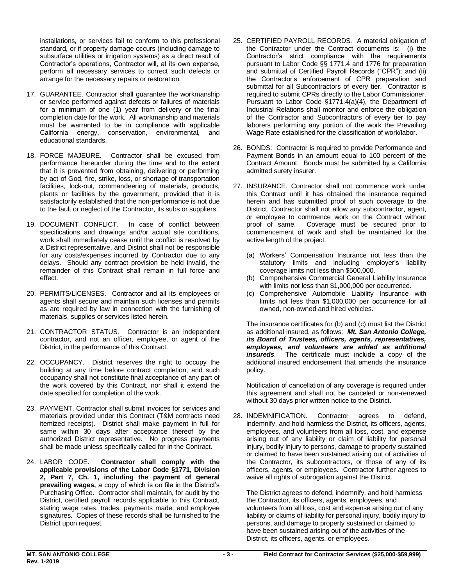installations, or services fail to conform to this professional standard, or if property damage occurs (including damage to subsurface utilities or irrigation systems) as a direct result of Contractor's operations, Contractor will, at its own expense, perform all necessary services to correct such defects or arrange for the necessary repairs or restoration.

- 17. GUARANTEE. Contractor shall guarantee the workmanship or service performed against defects or failures of materials for a minimum of one (1) year from delivery or the final completion date for the work. All workmanship and materials must be warranted to be in compliance with applicable California energy, conservation, environmental, and educational standards.
- 18. FORCE MAJEURE. Contractor shall be excused from performance hereunder during the time and to the extent that it is prevented from obtaining, delivering or performing by act of God, fire, strike, loss, or shortage of transportation facilities, lock-out, commandeering of materials, products, plants or facilities by the government, provided that it is satisfactorily established that the non-performance is not due to the fault or neglect of the Contractor, its subs or suppliers.
- 19. DOCUMENT CONFLICT. In case of conflict between specifications and drawings and/or actual site conditions, work shall immediately cease until the conflict is resolved by a District representative, and District shall not be responsible for any costs/expenses incurred by Contractor due to any delays. Should any contract provision be held invalid, the remainder of this Contract shall remain in full force and effect.
- 20. PERMITS/LICENSES. Contractor and all its employees or agents shall secure and maintain such licenses and permits as are required by law in connection with the furnishing of materials, supplies or services listed herein.
- 21. CONTRACTOR STATUS. Contractor is an independent contractor, and not an officer, employee, or agent of the District, in the performance of this Contract.
- 22. OCCUPANCY. District reserves the right to occupy the building at any time before contract completion, and such occupancy shall not constitute final acceptance of any part of the work covered by this Contract, nor shall it extend the date specified for completion of the work.
- 23. PAYMENT. Contractor shall submit invoices for services and materials provided under this Contract (T&M contracts need itemized receipts). District shall make payment in full for same within 30 days after acceptance thereof by the authorized District representative. No progress payments shall be made unless specifically called for in the Contract.
- 24. LABOR CODE.  **applicable provisions of the Labor Code §1771, Division 2, Part 7, Ch. 1, including the payment of general prevailing wages,** a copy of which is on file in the District's Purchasing Office. Contractor shall maintain, for audit by the District, certified payroll records applicable to this Contract, stating wage rates, trades, payments made, and employee signatures. Copies of these records shall be furnished to the District upon request. Contractor shall comply with the
- 25. CERTIFIED PAYROLL RECORDS. A material obligation of the Contractor under the Contract documents is: (i) the Contractor's strict compliance with the requirements pursuant to Labor Code §§ 1771.4 and 1776 for preparation and submittal of Certified Payroll Records ("CPR"); and (ii) the Contractor's enforcement of CPR preparation and submittal for all Subcontractors of every tier. Contractor is required to submit CPRs directly to the Labor Commissioner. Pursuant to Labor Code §1771.4(a)(4), the Department of Industrial Relations shall monitor and enforce the obligation of the Contractor and Subcontractors of every tier to pay laborers performing any portion of the work the Prevailing Wage Rate established for the classification of work/labor.
- 26. BONDS: Contractor is required to provide Performance and Payment Bonds in an amount equal to 100 percent of the Contract Amount. Bonds must be submitted by a California admitted surety insurer.
- 27. INSURANCE. Contractor shall not commence work under this Contract until it has obtained the insurance required herein and has submitted proof of such coverage to the District. Contractor shall not allow any subcontractor, agent, or employee to commence work on the Contract without proof of same. Coverage must be secured prior to commencement of work and shall be maintained for the active length of the project.
	- (a) Workers' Compensation Insurance not less than the statutory limits and including employer's liability coverage limits not less than \$500,000.
	- (b) Comprehensive Commercial General Liability Insurance with limits not less than \$1,000,000 per occurrence.
	- limits not less than \$1,000,000 per occurrence for all owned, non-owned and hired vehicles. (c) Comprehensive Automobile Liability Insurance with

 The insurance certificates for (b) and (c) must list the District as additional insured, as follows: *Mt. San Antonio College, its Board of Trustees, officers, agents, representatives,*  additional insured endorsement that amends the insurance *employees, and volunteers are added as additional insureds.* The certificate must include a copy of the policy.

 Notification of cancellation of any coverage is required under this agreement and shall not be canceled or non-renewed without 30 days prior written notice to the District.

 28. INDEMNIFICATION. Contractor agrees to defend, indemnify, and hold harmless the District, its officers, agents, employees, and volunteers from all loss, cost, and expense arising out of any liability or claim of liability for personal injury, bodily injury to persons, damage to property sustained or claimed to have been sustained arising out of activities of the Contractor, its subcontractors, or those of any of its officers, agents, or employees. Contractor further agrees to waive all rights of subrogation against the District.

 The District agrees to defend, indemnify, and hold harmless the Contractor, its officers, agents, employees, and volunteers from all loss, cost and expense arising out of any liability or claims of liability for personal injury, bodily injury to persons, and damage to property sustained or claimed to have been sustained arising out of the activities of the District, its officers, agents, or employees.